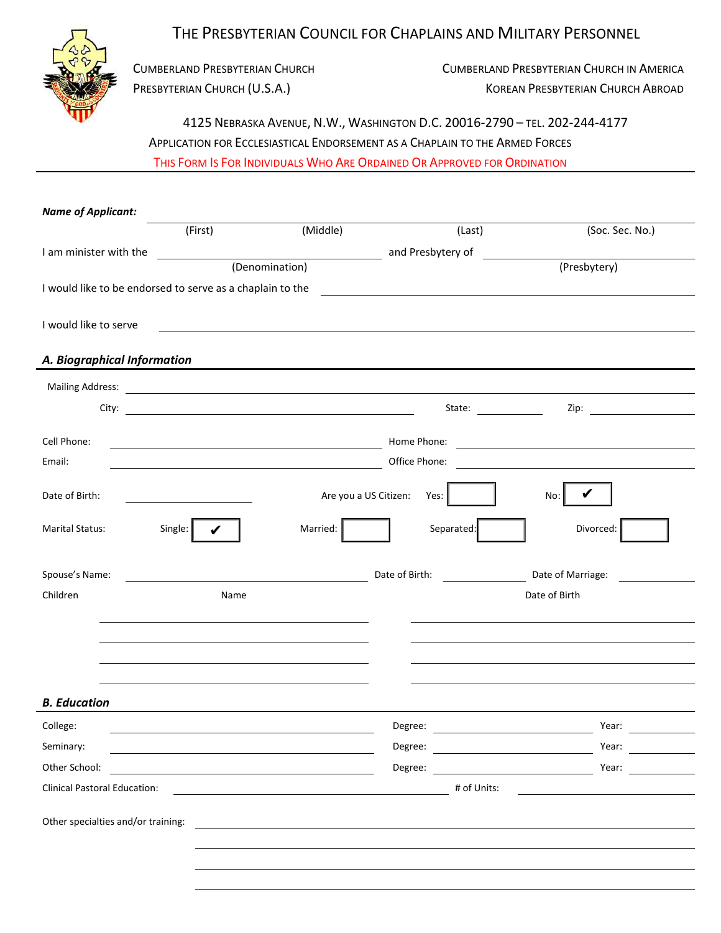# THE PRESBYTERIAN COUNCIL FOR CHAPLAINS AND MILITARY PERSONNEL



CUMBERLAND PRESBYTERIAN CHURCH CUMBERLAND PRESBYTERIAN CHURCH IN AMERICA PRESBYTERIAN CHURCH (U.S.A.) KOREAN PRESBYTERIAN CHURCH ABROAD

4125 NEBRASKA AVENUE, N.W., WASHINGTON D.C. 20016-2790 – TEL. 202-244-4177 APPLICATION FOR ECCLESIASTICAL ENDORSEMENT AS A CHAPLAIN TO THE ARMED FORCES THIS FORM IS FOR INDIVIDUALS WHO ARE ORDAINED OR APPROVED FOR ORDINATION

| <b>Name of Applicant:</b>                                 |         |                                                                                                                       |                                                       |                                                                                                                                                                                                                                |                                                                                                                                                                                                                                |
|-----------------------------------------------------------|---------|-----------------------------------------------------------------------------------------------------------------------|-------------------------------------------------------|--------------------------------------------------------------------------------------------------------------------------------------------------------------------------------------------------------------------------------|--------------------------------------------------------------------------------------------------------------------------------------------------------------------------------------------------------------------------------|
|                                                           | (First) | (Middle)                                                                                                              |                                                       | (Last)                                                                                                                                                                                                                         | (Soc. Sec. No.)                                                                                                                                                                                                                |
| I am minister with the                                    |         |                                                                                                                       | and Presbytery of                                     |                                                                                                                                                                                                                                |                                                                                                                                                                                                                                |
|                                                           |         | (Denomination)                                                                                                        |                                                       |                                                                                                                                                                                                                                | (Presbytery)                                                                                                                                                                                                                   |
| I would like to be endorsed to serve as a chaplain to the |         |                                                                                                                       | <u> 1980 - Johann Stein, fransk politik (f. 1980)</u> |                                                                                                                                                                                                                                |                                                                                                                                                                                                                                |
| I would like to serve                                     |         |                                                                                                                       |                                                       |                                                                                                                                                                                                                                |                                                                                                                                                                                                                                |
| A. Biographical Information                               |         |                                                                                                                       |                                                       |                                                                                                                                                                                                                                |                                                                                                                                                                                                                                |
|                                                           |         |                                                                                                                       |                                                       |                                                                                                                                                                                                                                |                                                                                                                                                                                                                                |
| City:                                                     |         | <u> 1989 - Johann Barbara, martin amerikan basal dan berasal dan berasal dalam basal dan berasal dan berasal dan</u>  |                                                       | State: The State of the State of the State of the State of the State of the State of the State of the State of the State of the State of the State of the State of the State of the State of the State of the State of the Sta |                                                                                                                                                                                                                                |
| Cell Phone:                                               |         | <u> 1989 - Johann Barbara, martin amerikan basar dan berasal dan berasal dalam basar dalam basar dalam basar dala</u> | Home Phone:                                           |                                                                                                                                                                                                                                | <u> 1989 - Johann Barbara, martin amerikan basal dan berasal dalam basal dalam basal dalam basal dalam basal dala</u>                                                                                                          |
| Email:                                                    |         |                                                                                                                       | Office Phone:                                         |                                                                                                                                                                                                                                |                                                                                                                                                                                                                                |
|                                                           |         |                                                                                                                       |                                                       |                                                                                                                                                                                                                                |                                                                                                                                                                                                                                |
| Date of Birth:                                            |         |                                                                                                                       | Are you a US Citizen:<br>Yes:                         |                                                                                                                                                                                                                                | No:                                                                                                                                                                                                                            |
| <b>Marital Status:</b>                                    | Single: | Married:                                                                                                              |                                                       | Separated:                                                                                                                                                                                                                     | Divorced:                                                                                                                                                                                                                      |
| Spouse's Name:                                            |         |                                                                                                                       | Date of Birth:                                        |                                                                                                                                                                                                                                | Date of Marriage:                                                                                                                                                                                                              |
| Children                                                  | Name    |                                                                                                                       |                                                       |                                                                                                                                                                                                                                | Date of Birth                                                                                                                                                                                                                  |
|                                                           |         |                                                                                                                       |                                                       |                                                                                                                                                                                                                                |                                                                                                                                                                                                                                |
|                                                           |         |                                                                                                                       |                                                       |                                                                                                                                                                                                                                |                                                                                                                                                                                                                                |
|                                                           |         |                                                                                                                       |                                                       |                                                                                                                                                                                                                                |                                                                                                                                                                                                                                |
|                                                           |         |                                                                                                                       |                                                       |                                                                                                                                                                                                                                |                                                                                                                                                                                                                                |
| <b>B.</b> Education                                       |         |                                                                                                                       |                                                       |                                                                                                                                                                                                                                |                                                                                                                                                                                                                                |
| College:                                                  |         |                                                                                                                       | Degree:                                               |                                                                                                                                                                                                                                | Year:                                                                                                                                                                                                                          |
| Seminary:                                                 |         |                                                                                                                       |                                                       |                                                                                                                                                                                                                                | Year: The contract of the contract of the contract of the contract of the contract of the contract of the contract of the contract of the contract of the contract of the contract of the contract of the contract of the cont |
| Other School:                                             |         |                                                                                                                       |                                                       | Degree: <u>_____________________________</u>                                                                                                                                                                                   | Year: and the state of the state of the state of the state of the state of the state of the state of the state                                                                                                                 |
| <b>Clinical Pastoral Education:</b>                       |         | # of Units:                                                                                                           |                                                       |                                                                                                                                                                                                                                | <u> 1989 - John Stein, Amerikaansk politiker (</u>                                                                                                                                                                             |
| Other specialties and/or training:                        |         | <u> 1980 - Jan Stein Stein Stein Stein Stein Stein Stein Stein Stein Stein Stein Stein Stein Stein Stein Stein S</u>  |                                                       |                                                                                                                                                                                                                                |                                                                                                                                                                                                                                |
|                                                           |         |                                                                                                                       |                                                       |                                                                                                                                                                                                                                |                                                                                                                                                                                                                                |
|                                                           |         |                                                                                                                       |                                                       |                                                                                                                                                                                                                                |                                                                                                                                                                                                                                |
|                                                           |         |                                                                                                                       |                                                       |                                                                                                                                                                                                                                |                                                                                                                                                                                                                                |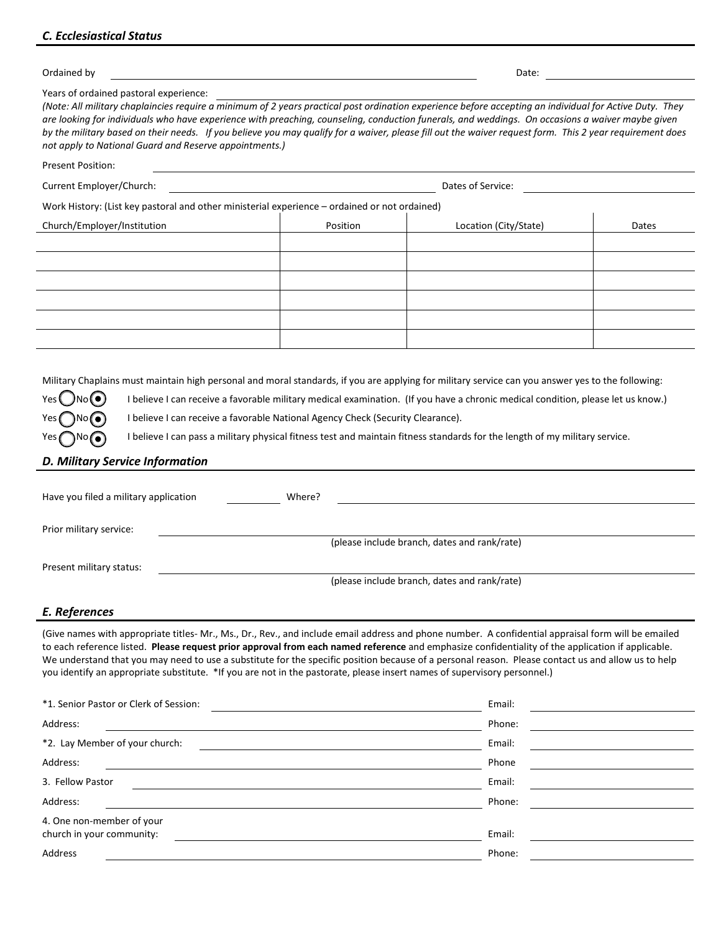| <b>C. Ecclesiastical Status</b> |
|---------------------------------|
|---------------------------------|

| Ordained by                                                                                                                                                                                                                                                                                                                                                                                                                                                                                                                                                                 | Date:    |                       |       |
|-----------------------------------------------------------------------------------------------------------------------------------------------------------------------------------------------------------------------------------------------------------------------------------------------------------------------------------------------------------------------------------------------------------------------------------------------------------------------------------------------------------------------------------------------------------------------------|----------|-----------------------|-------|
| Years of ordained pastoral experience:<br>(Note: All military chaplaincies require a minimum of 2 years practical post ordination experience before accepting an individual for Active Duty. They<br>are looking for individuals who have experience with preaching, counseling, conduction funerals, and weddings. On occasions a waiver maybe given<br>by the military based on their needs. If you believe you may qualify for a waiver, please fill out the waiver request form. This 2 year requirement does<br>not apply to National Guard and Reserve appointments.) |          |                       |       |
| <b>Present Position:</b>                                                                                                                                                                                                                                                                                                                                                                                                                                                                                                                                                    |          |                       |       |
| Current Employer/Church:<br>Dates of Service:                                                                                                                                                                                                                                                                                                                                                                                                                                                                                                                               |          |                       |       |
| Work History: (List key pastoral and other ministerial experience – ordained or not ordained)                                                                                                                                                                                                                                                                                                                                                                                                                                                                               |          |                       |       |
| Church/Employer/Institution                                                                                                                                                                                                                                                                                                                                                                                                                                                                                                                                                 | Position | Location (City/State) | Dates |
|                                                                                                                                                                                                                                                                                                                                                                                                                                                                                                                                                                             |          |                       |       |
|                                                                                                                                                                                                                                                                                                                                                                                                                                                                                                                                                                             |          |                       |       |
|                                                                                                                                                                                                                                                                                                                                                                                                                                                                                                                                                                             |          |                       |       |
|                                                                                                                                                                                                                                                                                                                                                                                                                                                                                                                                                                             |          |                       |       |
|                                                                                                                                                                                                                                                                                                                                                                                                                                                                                                                                                                             |          |                       |       |
|                                                                                                                                                                                                                                                                                                                                                                                                                                                                                                                                                                             |          |                       |       |

Military Chaplains must maintain high personal and moral standards, if you are applying for military service can you answer yes to the following:

Yes  $\bigcirc$  No  $\bigcirc$  I believe I can receive a favorable military medical examination. (If you have a chronic medical condition, please let us know.)

Yes ( No  $\odot$  I believe I can receive a favorable National Agency Check (Security Clearance).

Yes  $\bigcap$ No  $\bigcap$  I believe I can pass a military physical fitness test and maintain fitness standards for the length of my military service.

#### *D. Military Service Information*

| Have you filed a military application | Where? |                                              |  |
|---------------------------------------|--------|----------------------------------------------|--|
|                                       |        |                                              |  |
| Prior military service:               |        | (please include branch, dates and rank/rate) |  |
| Present military status:              |        |                                              |  |
|                                       |        | (please include branch, dates and rank/rate) |  |

#### *E. References*

(Give names with appropriate titles- Mr., Ms., Dr., Rev., and include email address and phone number. A confidential appraisal form will be emailed to each reference listed. **Please request prior approval from each named reference** and emphasize confidentiality of the application if applicable. We understand that you may need to use a substitute for the specific position because of a personal reason. Please contact us and allow us to help you identify an appropriate substitute. \*If you are not in the pastorate, please insert names of supervisory personnel.)

| *1. Senior Pastor or Clerk of Session:                 | Email: |
|--------------------------------------------------------|--------|
| Address:                                               | Phone: |
| *2. Lay Member of your church:                         | Email: |
| Address:                                               | Phone  |
| 3. Fellow Pastor                                       | Email: |
| Address:                                               | Phone: |
| 4. One non-member of your<br>church in your community: | Email: |
| Address                                                | Phone: |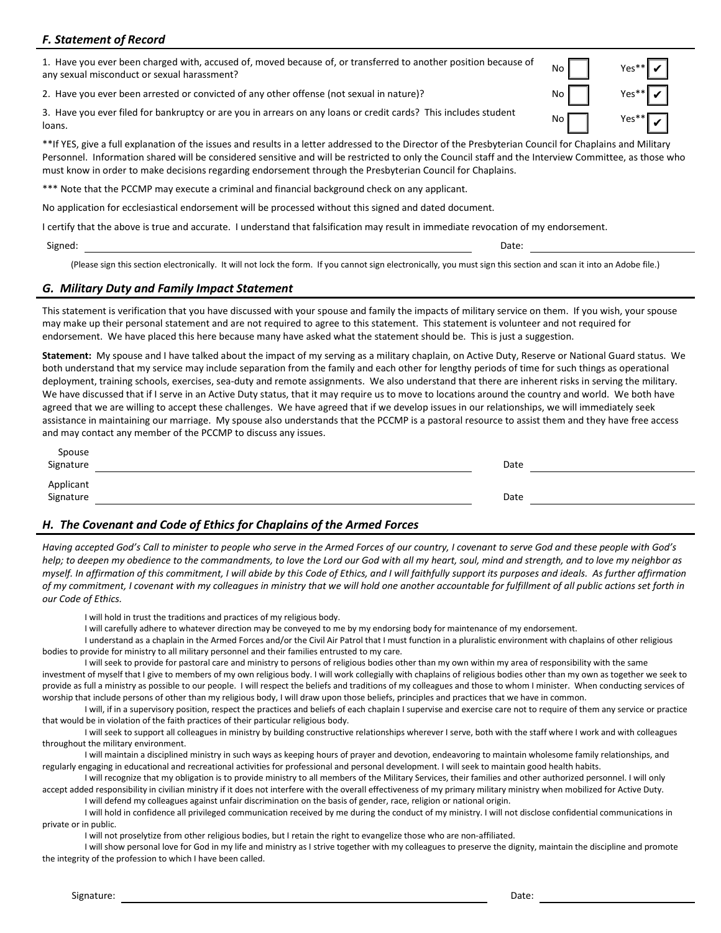# *F. Statement of Record*

| 1. Have you ever been charged with, accused of, moved because of, or transferred to another position because of<br>any sexual misconduct or sexual harassment? | $\overline{N}$ | Yes** $\boxed{\mathbf{v}}$        |
|----------------------------------------------------------------------------------------------------------------------------------------------------------------|----------------|-----------------------------------|
| 2. Have you ever been arrested or convicted of any other offense (not sexual in nature)?                                                                       | $\mathsf{No}$  | Yes <sup>**</sup> $\triangledown$ |
| 3. Have you ever filed for bankruptcy or are you in arrears on any loans or credit cards? This includes student<br>loans.                                      | $\mathsf{No}$  | $Yes**$ $\boxed{\bigvee}$         |

\*\*If YES, give a full explanation of the issues and results in a letter addressed to the Director of the Presbyterian Council for Chaplains and Military Personnel. Information shared will be considered sensitive and will be restricted to only the Council staff and the Interview Committee, as those who must know in order to make decisions regarding endorsement through the Presbyterian Council for Chaplains.

\*\*\* Note that the PCCMP may execute a criminal and financial background check on any applicant.

No application for ecclesiastical endorsement will be processed without this signed and dated document.

I certify that the above is true and accurate. I understand that falsification may result in immediate revocation of my endorsement.

Signed: Date:

(Please sign this section electronically. It will not lock the form. If you cannot sign electronically, you must sign this section and scan it into an Adobe file.)

#### *G. Military Duty and Family Impact Statement*

This statement is verification that you have discussed with your spouse and family the impacts of military service on them. If you wish, your spouse may make up their personal statement and are not required to agree to this statement. This statement is volunteer and not required for endorsement. We have placed this here because many have asked what the statement should be. This is just a suggestion.

**Statement:** My spouse and I have talked about the impact of my serving as a military chaplain, on Active Duty, Reserve or National Guard status. We both understand that my service may include separation from the family and each other for lengthy periods of time for such things as operational deployment, training schools, exercises, sea-duty and remote assignments. We also understand that there are inherent risks in serving the military. We have discussed that if I serve in an Active Duty status, that it may require us to move to locations around the country and world. We both have agreed that we are willing to accept these challenges. We have agreed that if we develop issues in our relationships, we will immediately seek assistance in maintaining our marriage. My spouse also understands that the PCCMP is a pastoral resource to assist them and they have free access and may contact any member of the PCCMP to discuss any issues.

| Spouse<br>Signature    | Date |
|------------------------|------|
| Applicant<br>Signature | Date |

## *H. The Covenant and Code of Ethics for Chaplains of the Armed Forces*

*Having accepted God's Call to minister to people who serve in the Armed Forces of our country, I covenant to serve God and these people with God's help; to deepen my obedience to the commandments, to love the Lord our God with all my heart, soul, mind and strength, and to love my neighbor as myself. In affirmation of this commitment, I will abide by this Code of Ethics, and I will faithfully support its purposes and ideals. As further affirmation of my commitment, I covenant with my colleagues in ministry that we will hold one another accountable for fulfillment of all public actions set forth in our Code of Ethics.*

I will hold in trust the traditions and practices of my religious body.

I will carefully adhere to whatever direction may be conveyed to me by my endorsing body for maintenance of my endorsement.

I understand as a chaplain in the Armed Forces and/or the Civil Air Patrol that I must function in a pluralistic environment with chaplains of other religious bodies to provide for ministry to all military personnel and their families entrusted to my care.

I will seek to provide for pastoral care and ministry to persons of religious bodies other than my own within my area of responsibility with the same investment of myself that I give to members of my own religious body. I will work collegially with chaplains of religious bodies other than my own as together we seek to provide as full a ministry as possible to our people. I will respect the beliefs and traditions of my colleagues and those to whom I minister. When conducting services of worship that include persons of other than my religious body, I will draw upon those beliefs, principles and practices that we have in common.

I will, if in a supervisory position, respect the practices and beliefs of each chaplain I supervise and exercise care not to require of them any service or practice that would be in violation of the faith practices of their particular religious body.

I will seek to support all colleagues in ministry by building constructive relationships wherever I serve, both with the staff where I work and with colleagues throughout the military environment.

I will maintain a disciplined ministry in such ways as keeping hours of prayer and devotion, endeavoring to maintain wholesome family relationships, and regularly engaging in educational and recreational activities for professional and personal development. I will seek to maintain good health habits.

I will recognize that my obligation is to provide ministry to all members of the Military Services, their families and other authorized personnel. I will only accept added responsibility in civilian ministry if it does not interfere with the overall effectiveness of my primary military ministry when mobilized for Active Duty.

I will defend my colleagues against unfair discrimination on the basis of gender, race, religion or national origin.

I will hold in confidence all privileged communication received by me during the conduct of my ministry. I will not disclose confidential communications in private or in public.

I will not proselytize from other religious bodies, but I retain the right to evangelize those who are non-affiliated.

I will show personal love for God in my life and ministry as I strive together with my colleagues to preserve the dignity, maintain the discipline and promote the integrity of the profession to which I have been called.